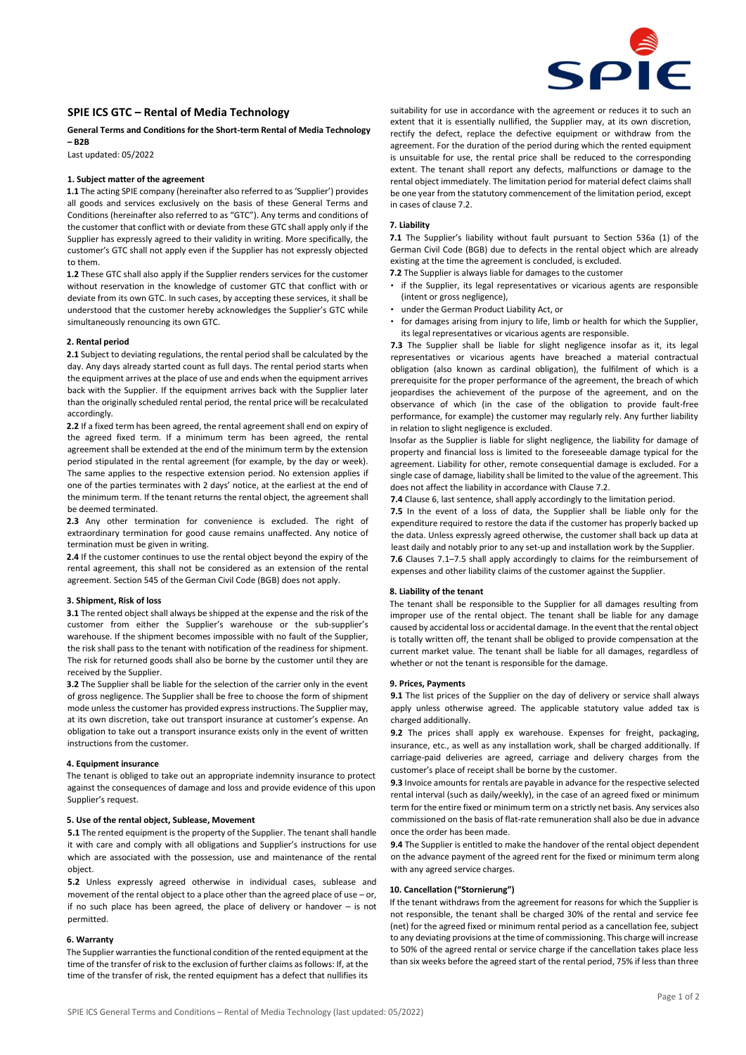

# **SPIE ICS GTC – Rental of Media Technology**

# **General Terms and Conditions for the Short-term Rental of Media Technology – B2B**

Last updated: 05/2022

## **1. Subject matter of the agreement**

**1.1** The acting SPIE company (hereinafter also referred to as 'Supplier') provides all goods and services exclusively on the basis of these General Terms and Conditions (hereinafter also referred to as "GTC"). Any terms and conditions of the customer that conflict with or deviate from these GTC shall apply only if the Supplier has expressly agreed to their validity in writing. More specifically, the customer's GTC shall not apply even if the Supplier has not expressly objected to them.

**1.2** These GTC shall also apply if the Supplier renders services for the customer without reservation in the knowledge of customer GTC that conflict with or deviate from its own GTC. In such cases, by accepting these services, it shall be understood that the customer hereby acknowledges the Supplier's GTC while simultaneously renouncing its own GTC.

#### **2. Rental period**

**2.1** Subject to deviating regulations, the rental period shall be calculated by the day. Any days already started count as full days. The rental period starts when the equipment arrives at the place of use and ends when the equipment arrives back with the Supplier. If the equipment arrives back with the Supplier later than the originally scheduled rental period, the rental price will be recalculated accordingly.

**2.2** If a fixed term has been agreed, the rental agreement shall end on expiry of the agreed fixed term. If a minimum term has been agreed, the rental agreement shall be extended at the end of the minimum term by the extension period stipulated in the rental agreement (for example, by the day or week). The same applies to the respective extension period. No extension applies if one of the parties terminates with 2 days' notice, at the earliest at the end of the minimum term. If the tenant returns the rental object, the agreement shall be deemed terminated.

**2.3** Any other termination for convenience is excluded. The right of extraordinary termination for good cause remains unaffected. Any notice of termination must be given in writing.

**2.4** If the customer continues to use the rental object beyond the expiry of the rental agreement, this shall not be considered as an extension of the rental agreement. Section 545 of the German Civil Code (BGB) does not apply.

#### **3. Shipment, Risk of loss**

**3.1** The rented object shall always be shipped at the expense and the risk of the customer from either the Supplier's warehouse or the sub-supplier's warehouse. If the shipment becomes impossible with no fault of the Supplier, the risk shall pass to the tenant with notification of the readiness for shipment. The risk for returned goods shall also be borne by the customer until they are received by the Supplier.

**3.2** The Supplier shall be liable for the selection of the carrier only in the event of gross negligence. The Supplier shall be free to choose the form of shipment mode unless the customer has provided express instructions. The Supplier may, at its own discretion, take out transport insurance at customer's expense. An obligation to take out a transport insurance exists only in the event of written instructions from the customer.

## **4. Equipment insurance**

The tenant is obliged to take out an appropriate indemnity insurance to protect against the consequences of damage and loss and provide evidence of this upon Supplier's request.

## **5. Use of the rental object, Sublease, Movement**

**5.1** The rented equipment is the property of the Supplier. The tenant shall handle it with care and comply with all obligations and Supplier's instructions for use which are associated with the possession, use and maintenance of the rental object.

**5.2** Unless expressly agreed otherwise in individual cases, sublease and movement of the rental object to a place other than the agreed place of use – or, if no such place has been agreed, the place of delivery or handover – is not permitted.

#### **6. Warranty**

The Supplier warranties the functional condition of the rented equipment at the time of the transfer of risk to the exclusion of further claims as follows: If, at the time of the transfer of risk, the rented equipment has a defect that nullifies its

suitability for use in accordance with the agreement or reduces it to such an extent that it is essentially nullified, the Supplier may, at its own discretion, rectify the defect, replace the defective equipment or withdraw from the agreement. For the duration of the period during which the rented equipment is unsuitable for use, the rental price shall be reduced to the corresponding extent. The tenant shall report any defects, malfunctions or damage to the rental object immediately. The limitation period for material defect claims shall be one year from the statutory commencement of the limitation period, except in cases of clause 7.2.

## **7. Liability**

**7.1** The Supplier's liability without fault pursuant to Section 536a (1) of the German Civil Code (BGB) due to defects in the rental object which are already existing at the time the agreement is concluded, is excluded.

**7.2** The Supplier is always liable for damages to the customer

- if the Supplier, its legal representatives or vicarious agents are responsible (intent or gross negligence),
- under the German Product Liability Act, or
- for damages arising from injury to life, limb or health for which the Supplier, its legal representatives or vicarious agents are responsible.

**7.3** The Supplier shall be liable for slight negligence insofar as it, its legal representatives or vicarious agents have breached a material contractual obligation (also known as cardinal obligation), the fulfilment of which is a prerequisite for the proper performance of the agreement, the breach of which jeopardises the achievement of the purpose of the agreement, and on the observance of which (in the case of the obligation to provide fault-free performance, for example) the customer may regularly rely. Any further liability in relation to slight negligence is excluded.

Insofar as the Supplier is liable for slight negligence, the liability for damage of property and financial loss is limited to the foreseeable damage typical for the agreement. Liability for other, remote consequential damage is excluded. For a single case of damage, liability shall be limited to the value of the agreement. This does not affect the liability in accordance with Clause 7.2.

**7.4** Clause 6, last sentence, shall apply accordingly to the limitation period. **7.5** In the event of a loss of data, the Supplier shall be liable only for the expenditure required to restore the data if the customer has properly backed up the data. Unless expressly agreed otherwise, the customer shall back up data at least daily and notably prior to any set-up and installation work by the Supplier. **7.6** Clauses 7.1–7.5 shall apply accordingly to claims for the reimbursement of expenses and other liability claims of the customer against the Supplier.

#### **8. Liability of the tenant**

The tenant shall be responsible to the Supplier for all damages resulting from improper use of the rental object. The tenant shall be liable for any damage caused by accidental loss or accidental damage. In the event that the rental object is totally written off, the tenant shall be obliged to provide compensation at the current market value. The tenant shall be liable for all damages, regardless of whether or not the tenant is responsible for the damage.

#### **9. Prices, Payments**

**9.1** The list prices of the Supplier on the day of delivery or service shall always apply unless otherwise agreed. The applicable statutory value added tax is charged additionally.

**9.2** The prices shall apply ex warehouse. Expenses for freight, packaging, insurance, etc., as well as any installation work, shall be charged additionally. If carriage-paid deliveries are agreed, carriage and delivery charges from the customer's place of receipt shall be borne by the customer.

**9.3** Invoice amounts for rentals are payable in advance for the respective selected rental interval (such as daily/weekly), in the case of an agreed fixed or minimum term for the entire fixed or minimum term on a strictly net basis. Any services also commissioned on the basis of flat-rate remuneration shall also be due in advance once the order has been made.

**9.4** The Supplier is entitled to make the handover of the rental object dependent on the advance payment of the agreed rent for the fixed or minimum term along with any agreed service charges.

## **10. Cancellation ("Stornierung")**

If the tenant withdraws from the agreement for reasons for which the Supplier is not responsible, the tenant shall be charged 30% of the rental and service fee (net) for the agreed fixed or minimum rental period as a cancellation fee, subject to any deviating provisions at the time of commissioning. This charge will increase to 50% of the agreed rental or service charge if the cancellation takes place less than six weeks before the agreed start of the rental period, 75% if less than three